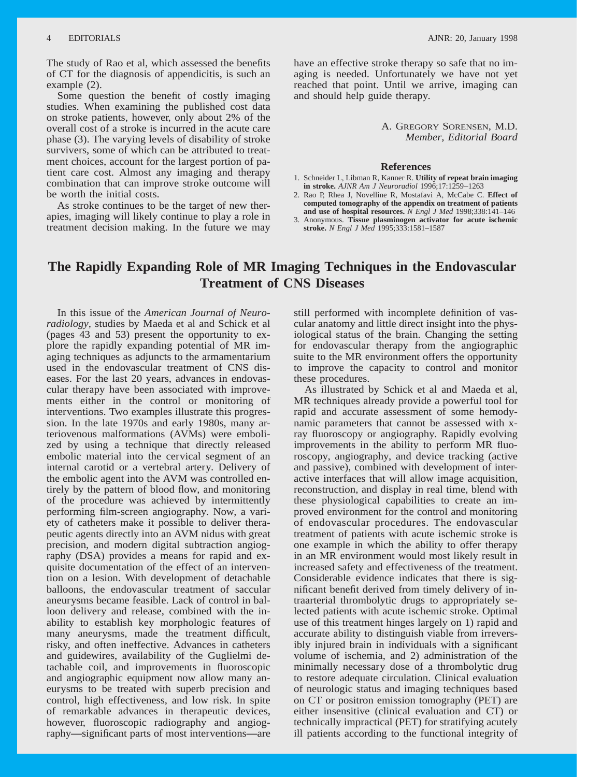<span id="page-0-0"></span>The study of Rao et al, which assessed the benefits of CT for the diagnosis of appendicitis, is such an example (2).

Some question the benefit of costly imaging studies. When examining the published cost data on stroke patients, however, only about 2% of the overall cost of a stroke is incurred in the acute care phase (3). The varying levels of disability of stroke survivers, some of which can be attributed to treatment choices, account for the largest portion of patient care cost. Almost any imaging and therapy combination that can improve stroke outcome will be worth the initial costs.

As stroke continues to be the target of new therapies, imaging will likely continue to play a role in treatment decision making. In the future we may

have an effective stroke therapy so safe that no imaging is needed. Unfortunately we have not yet reached that point. Until we arrive, imaging can and should help guide therapy.

> A. GREGORY SORENSEN, M.D. *Member, Editorial Board*

## **References**

- 1. Schneider L, Libman R, Kanner R. **Utility of repeat brain imaging in stroke.** *AJNR Am J Neuroradiol* 1996;17:1259–1263
- 2. Rao P, Rhea J, Novelline R, Mostafavi A, McCabe C. **Effect of computed tomography of the appendix on treatment of patients and use of hospital resources.** *N Engl J Med* 1998;338:141–146
- 3. Anonymous. **Tissue plasminogen activator for acute ischemic stroke.** *N Engl J Med* 1995;333:1581–1587

## **The Rapidly Expanding Role of MR Imaging Techniques in the Endovascular Treatment of CNS Diseases**

In this issue of the *American Journal of Neuroradiology,* studies by Maeda et al and Schick et al (pages 43 and 53) present the opportunity to explore the rapidly expanding potential of MR imaging techniques as adjuncts to the armamentarium used in the endovascular treatment of CNS diseases. For the last 20 years, advances in endovascular therapy have been associated with improvements either in the control or monitoring of interventions. Two examples illustrate this progression. In the late 1970s and early 1980s, many arteriovenous malformations (AVMs) were embolized by using a technique that directly released embolic material into the cervical segment of an internal carotid or a vertebral artery. Delivery of the embolic agent into the AVM was controlled entirely by the pattern of blood flow, and monitoring of the procedure was achieved by intermittently performing film-screen angiography. Now, a variety of catheters make it possible to deliver therapeutic agents directly into an AVM nidus with great precision, and modern digital subtraction angiography (DSA) provides a means for rapid and exquisite documentation of the effect of an intervention on a lesion. With development of detachable balloons, the endovascular treatment of saccular aneurysms became feasible. Lack of control in balloon delivery and release, combined with the inability to establish key morphologic features of many aneurysms, made the treatment difficult, risky, and often ineffective. Advances in catheters and guidewires, availability of the Guglielmi detachable coil, and improvements in fluoroscopic and angiographic equipment now allow many aneurysms to be treated with superb precision and control, high effectiveness, and low risk. In spite of remarkable advances in therapeutic devices, however, fluoroscopic radiography and angiography**—**significant parts of most interventions**—**are

still performed with incomplete definition of vascular anatomy and little direct insight into the physiological status of the brain. Changing the setting for endovascular therapy from the angiographic suite to the MR environment offers the opportunity to improve the capacity to control and monitor these procedures.

As illustrated by Schick et al and Maeda et al, MR techniques already provide a powerful tool for rapid and accurate assessment of some hemodynamic parameters that cannot be assessed with xray fluoroscopy or angiography. Rapidly evolving improvements in the ability to perform MR fluoroscopy, angiography, and device tracking (active and passive), combined with development of interactive interfaces that will allow image acquisition, reconstruction, and display in real time, blend with these physiological capabilities to create an improved environment for the control and monitoring of endovascular procedures. The endovascular treatment of patients with acute ischemic stroke is one example in which the ability to offer therapy in an MR environment would most likely result in increased safety and effectiveness of the treatment. Considerable evidence indicates that there is significant benefit derived from timely delivery of intraarterial thrombolytic drugs to appropriately selected patients with acute ischemic stroke. Optimal use of this treatment hinges largely on 1) rapid and accurate ability to distinguish viable from irreversibly injured brain in individuals with a significant volume of ischemia, and 2) administration of the minimally necessary dose of a thrombolytic drug to restore adequate circulation. Clinical evaluation of neurologic status and imaging techniques based on CT or positron emission tomography (PET) are either insensitive (clinical evaluation and CT) or technically impractical (PET) for stratifying acutely ill patients according to the functional integrity of